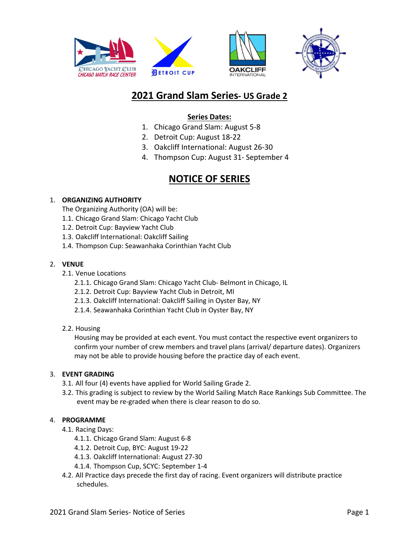

# **2021 Grand Slam Series- US Grade 2**

## **Series Dates:**

- 1. Chicago Grand Slam: August 5-8
- 2. Detroit Cup: August 18-22
- 3. Oakcliff International: August 26-30
- 4. Thompson Cup: August 31- September 4

# **NOTICE OF SERIES**

### 1. **ORGANIZING AUTHORITY**

The Organizing Authority (OA) will be:

- 1.1. Chicago Grand Slam: Chicago Yacht Club
- 1.2. Detroit Cup: Bayview Yacht Club
- 1.3. Oakcliff International: Oakcliff Sailing
- 1.4. Thompson Cup: Seawanhaka Corinthian Yacht Club

### 2. **VENUE**

- 2.1. Venue Locations
	- 2.1.1. Chicago Grand Slam: Chicago Yacht Club- Belmont in Chicago, IL
	- 2.1.2. Detroit Cup: Bayview Yacht Club in Detroit, MI
	- 2.1.3. Oakcliff International: Oakcliff Sailing in Oyster Bay, NY
	- 2.1.4. Seawanhaka Corinthian Yacht Club in Oyster Bay, NY

#### 2.2. Housing

Housing may be provided at each event. You must contact the respective event organizers to confirm your number of crew members and travel plans (arrival/ departure dates). Organizers may not be able to provide housing before the practice day of each event.

#### 3. **EVENT GRADING**

- 3.1. All four (4) events have applied for World Sailing Grade 2.
- 3.2. This grading is subject to review by the World Sailing Match Race Rankings Sub Committee. The event may be re-graded when there is clear reason to do so.

## 4. **PROGRAMME**

- 4.1. Racing Days:
	- 4.1.1. Chicago Grand Slam: August 6-8
	- 4.1.2. Detroit Cup, BYC: August 19-22
	- 4.1.3. Oakcliff International: August 27-30
	- 4.1.4. Thompson Cup, SCYC: September 1-4
- 4.2. All Practice days precede the first day of racing. Event organizers will distribute practice schedules.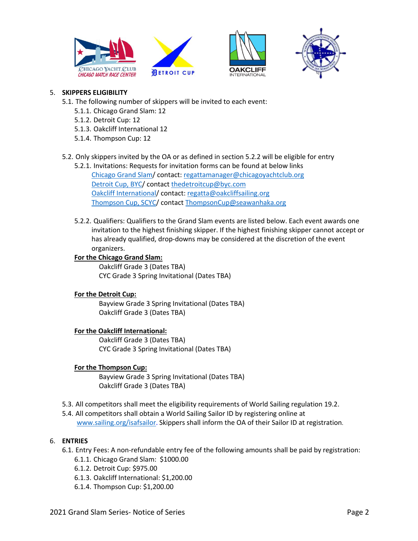





## 5. **SKIPPERS ELIGIBILITY**

- 5.1. The following number of skippers will be invited to each event:
	- 5.1.1. Chicago Grand Slam: 12
	- 5.1.2. Detroit Cup: 12
	- 5.1.3. Oakcliff International 12
	- 5.1.4. Thompson Cup: 12
- 5.2. Only skippers invited by the OA or as defined in section 5.2.2 will be eligible for entry
	- 5.2.1. Invitations: Requests for invitation forms can be found at below links Chicago Grand Slam/ contact: regattamanager@chicagoyachtclub.org Detroit Cup, BYC/ contact thedetroitcup@byc.com Oakcliff International/ contact: regatta@oakcliffsailing.org Thompson Cup, SCYC/ contact ThompsonCup@seawanhaka.org
	- 5.2.2. Qualifiers: Qualifiers to the Grand Slam events are listed below. Each event awards one invitation to the highest finishing skipper. If the highest finishing skipper cannot accept or has already qualified, drop-downs may be considered at the discretion of the event organizers.

#### **For the Chicago Grand Slam:**

Oakcliff Grade 3 (Dates TBA) CYC Grade 3 Spring Invitational (Dates TBA)

## **For the Detroit Cup:**

Bayview Grade 3 Spring Invitational (Dates TBA) Oakcliff Grade 3 (Dates TBA)

## **For the Oakcliff International:**

Oakcliff Grade 3 (Dates TBA) CYC Grade 3 Spring Invitational (Dates TBA)

## **For the Thompson Cup:**

Bayview Grade 3 Spring Invitational (Dates TBA) Oakcliff Grade 3 (Dates TBA)

- 5.3. All competitors shall meet the eligibility requirements of World Sailing regulation 19.2.
- 5.4. All competitors shall obtain a World Sailing Sailor ID by registering online at www.sailing.org/isafsailor. Skippers shall inform the OA of their Sailor ID at registration.

#### 6. **ENTRIES**

- 6.1. Entry Fees: A non-refundable entry fee of the following amounts shall be paid by registration:
	- 6.1.1. Chicago Grand Slam: \$1000.00
	- 6.1.2. Detroit Cup: \$975.00
	- 6.1.3. Oakcliff International: \$1,200.00
	- 6.1.4. Thompson Cup: \$1,200.00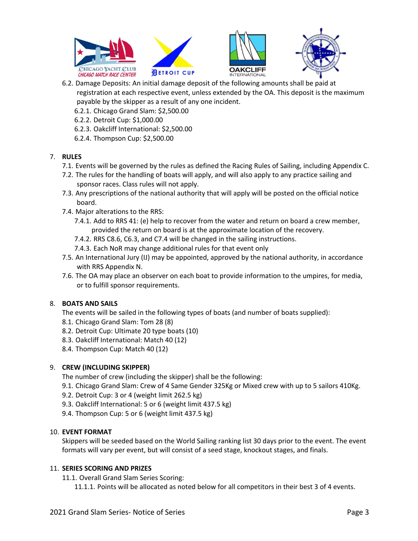

- 6.2. Damage Deposits: An initial damage deposit of the following amounts shall be paid at registration at each respective event, unless extended by the OA. This deposit is the maximum payable by the skipper as a result of any one incident.
	- 6.2.1. Chicago Grand Slam: \$2,500.00
	- 6.2.2. Detroit Cup: \$1,000.00
	- 6.2.3. Oakcliff International: \$2,500.00
	- 6.2.4. Thompson Cup: \$2,500.00

## 7. **RULES**

- 7.1. Events will be governed by the rules as defined the Racing Rules of Sailing, including Appendix C.
- 7.2. The rules for the handling of boats will apply, and will also apply to any practice sailing and sponsor races. Class rules will not apply.
- 7.3. Any prescriptions of the national authority that will apply will be posted on the official notice board.
- 7.4. Major alterations to the RRS:
	- 7.4.1. Add to RRS 41: (e) help to recover from the water and return on board a crew member, provided the return on board is at the approximate location of the recovery.
	- 7.4.2. RRS C8.6, C6.3, and C7.4 will be changed in the sailing instructions.
	- 7.4.3. Each NoR may change additional rules for that event only
- 7.5. An International Jury (IJ) may be appointed, approved by the national authority, in accordance with RRS Appendix N.
- 7.6. The OA may place an observer on each boat to provide information to the umpires, for media, or to fulfill sponsor requirements.

# 8. **BOATS AND SAILS**

The events will be sailed in the following types of boats (and number of boats supplied):

- 8.1. Chicago Grand Slam: Tom 28 (8)
- 8.2. Detroit Cup: Ultimate 20 type boats (10)
- 8.3. Oakcliff International: Match 40 (12)
- 8.4. Thompson Cup: Match 40 (12)

# 9. **CREW (INCLUDING SKIPPER)**

The number of crew (including the skipper) shall be the following:

- 9.1. Chicago Grand Slam: Crew of 4 Same Gender 325Kg or Mixed crew with up to 5 sailors 410Kg.
- 9.2. Detroit Cup: 3 or 4 (weight limit 262.5 kg)
- 9.3. Oakcliff International: 5 or 6 (weight limit 437.5 kg)
- 9.4. Thompson Cup: 5 or 6 (weight limit 437.5 kg)

## 10. **EVENT FORMAT**

Skippers will be seeded based on the World Sailing ranking list 30 days prior to the event. The event formats will vary per event, but will consist of a seed stage, knockout stages, and finals.

## 11. **SERIES SCORING AND PRIZES**

11.1. Overall Grand Slam Series Scoring:

11.1.1. Points will be allocated as noted below for all competitors in their best 3 of 4 events.